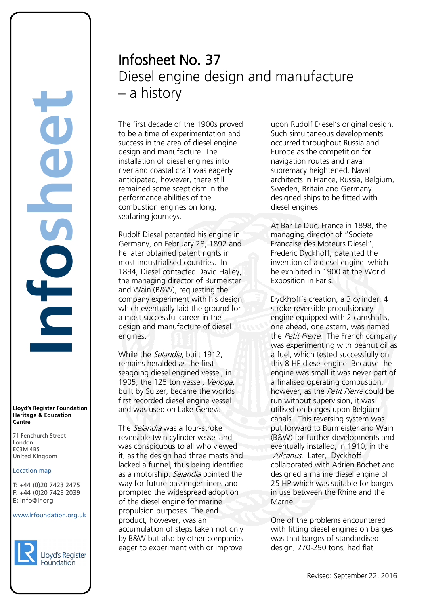#### **Lloyd's Register Foundation Heritage & Education Centre**

71 Fenchurch Street London Information Services EC3M 4BS United Kingdom

## Location map

T: +44 (0)20 7423 2475 **F:** +44 (0)20 7423 2039 Fax: +44 (0)20 7423 2039 **E:** info@lr.org  $F \rightarrow (0/20, 1 + 2)$ 

EC3M 4BS

#### www.lrfoundation.org.uk



# Infosheet No. 37 Diesel engine design and manufacture – a history

The first decade of the 1900s proved to be a time of experimentation and success in the area of diesel engine design and manufacture. The installation of diesel engines into river and coastal craft was eagerly anticipated, however, there still remained some scepticism in the performance abilities of the combustion engines on long, seafaring journeys.

Rudolf Diesel patented his engine in Germany, on February 28, 1892 and he later obtained patent rights in most industrialised countries. In 1894, Diesel contacted David Halley, the managing director of Burmeister and Wain (B&W), requesting the company experiment with his design, which eventually laid the ground for a most successful career in the design and manufacture of diesel engines.

While the *Selandia*, built 1912, remains heralded as the first seagoing diesel engined vessel, in 1905, the 125 ton vessel, Venoga, built by Sulzer, became the worlds first recorded diesel engine vessel and was used on Lake Geneva.

The *Selandia* was a four-stroke reversible twin cylinder vessel and was conspicuous to all who viewed it, as the design had three masts and lacked a funnel, thus being identified as a motorship. Selandia pointed the way for future passenger liners and prompted the widespread adoption of the diesel engine for marine propulsion purposes. The end product, however, was an accumulation of steps taken not only by B&W but also by other companies eager to experiment with or improve

upon Rudolf Diesel's original design. Such simultaneous developments occurred throughout Russia and Europe as the competition for navigation routes and naval supremacy heightened. Naval architects in France, Russia, Belgium, Sweden, Britain and Germany designed ships to be fitted with diesel engines.

At Bar Le Duc, France in 1898, the managing director of "Societe Francaise des Moteurs Diesel", Frederic Dyckhoff, patented the invention of a diesel engine which he exhibited in 1900 at the World Exposition in Paris.

Dyckhoff's creation, a 3 cylinder, 4 stroke reversible propulsionary engine equipped with 2 camshafts, one ahead, one astern, was named the *Petit Pierre*. The French company was experimenting with peanut oil as a fuel, which tested successfully on this 8 HP diesel engine. Because the engine was small it was never part of a finalised operating combustion, however, as the Petit Pierre could be run without supervision, it was utilised on barges upon Belgium canals. This reversing system was put forward to Burmeister and Wain (B&W) for further developments and eventually installed, in 1910, in the Vulcanus. Later, Dyckhoff collaborated with Adrien Bochet and designed a marine diesel engine of 25 HP which was suitable for barges in use between the Rhine and the Marne.

One of the problems encountered with fitting diesel engines on barges was that barges of standardised design, 270-290 tons, had flat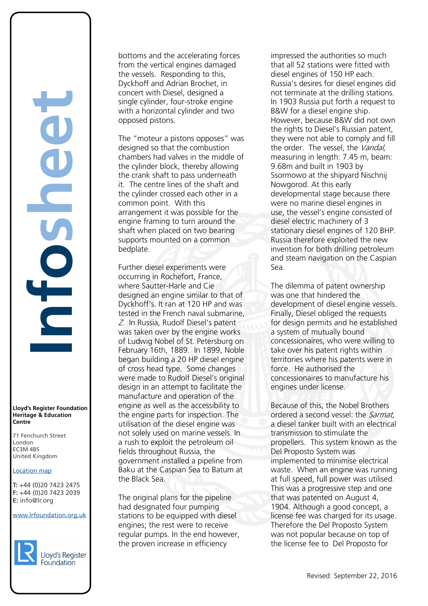**Lloyd's Register Foundation Heritage & Education Centre** rd's Register Foundat<br>
itage & Education<br>
tre<br>
Eenchurch Street<br>
don<br>
M 4BS<br>
ted Kingdom<br>
ation map<br>
44 (0)20 7423 2475<br>
44 (0)20 7423 2039<br>
nfo@lr.org

**Infosheet**

71 Fenchurch Street London Information Services EC3M 4BS United Kingdom EC3M 4BS

## Location map

T: +44 (0)20 7423 2475 **F:** +44 (0)20 7423 2039 Fax: +44 (0)20 7423 2039 **E:** info@lr.org  $F \rightarrow (0/20, 1 + 2)$ 

www.lrfoundation.org.uk



bottoms and the accelerating forces from the vertical engines damaged the vessels. Responding to this, Dyckhoff and Adrian Brochet, in concert with Diesel, designed a single cylinder, four-stroke engine with a horizontal cylinder and two opposed pistons.

The "moteur a pistons opposes" was designed so that the combustion chambers had valves in the middle of the cylinder block, thereby allowing the crank shaft to pass underneath it. The centre lines of the shaft and the cylinder crossed each other in a common point. With this arrangement it was possible for the engine framing to turn around the shaft when placed on two bearing supports mounted on a common bedplate.

Further diesel experiments were occurring in Rochefort, France, where Sautter-Harle and Cie designed an engine similar to that of Dyckhoff's. It ran at 120 HP and was tested in the French naval submarine, <sup>Z</sup>. In Russia, Rudolf Diesel's patent was taken over by the engine works of Ludwig Nobel of St. Petersburg on February 16th, 1889. In 1899, Noble began building a 20 HP diesel engine of cross head type. Some changes were made to Rudolf Diesel's original design in an attempt to facilitate the manufacture and operation of the engine as well as the accessibility to the engine parts for inspection. The utilisation of the diesel engine was not solely used on marine vessels. In a rush to exploit the petroleum oil fields throughout Russia, the government installed a pipeline from Baku at the Caspian Sea to Batum at the Black Sea.

The original plans for the pipeline had designated four pumping stations to be equipped with diesel engines; the rest were to receive regular pumps. In the end however, the proven increase in efficiency

impressed the authorities so much that all 52 stations were fitted with diesel engines of 150 HP each. Russia's desires for diesel engines did not terminate at the drilling stations. In 1903 Russia put forth a request to B&W for a diesel engine ship. However, because B&W did not own the rights to Diesel's Russian patent, they were not able to comply and fill the order. The vessel, the Vandal, measuring in length: 7.45 m, beam: 9.68m and built in 1903 by Ssormowo at the shipyard Nischnij Nowgorod. At this early developmental stage because there were no marine diesel engines in use, the vessel's engine consisted of diesel electric machinery of 3 stationary diesel engines of 120 BHP. Russia therefore exploited the new invention for both drilling petroleum and steam navigation on the Caspian Sea.

The dilemma of patent ownership was one that hindered the development of diesel engine vessels. Finally, Diesel obliged the requests for design permits and he established a system of mutually bound concessionaires, who were willing to take over his patent rights within territories where his patents were in force. He authorised the concessionaires to manufacture his engines under license.

Because of this, the Nobel Brothers ordered a second vessel: the Sarmat, a diesel tanker built with an electrical transmission to stimulate the propellers. This system known as the Del Proposto System was implemented to minimise electrical waste. When an engine was running at full speed, full power was utilised. This was a progressive step and one that was patented on August 4, 1904. Although a good concept, a license fee was charged for its usage. Therefore the Del Proposto System was not popular because on top of the license fee to Del Proposto for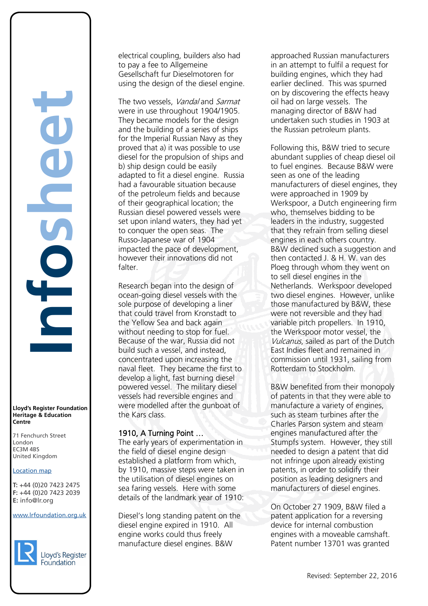**Lloyd's Register Foundation Heritage & Education Centre** rd's Register Foundat<br>
itage & Education<br>
tre<br>
Eenchurch Street<br>
don<br>
M 4BS<br>
ted Kingdom<br>
ation map<br>
44 (0)20 7423 2475<br>
44 (0)20 7423 2039<br>
nfo@lr.org

**Infosheet**

71 Fenchurch Street London Information Services EC3M 4BS United Kingdom EC3M 4BS

## Location map

T: +44 (0)20 7423 2475 **F:** +44 (0)20 7423 2039 Fax: +44 (0)20 7423 2039 **E:** info@lr.org  $F \rightarrow (0/20, 1 + 2)$ 

www.lrfoundation.org.uk



electrical coupling, builders also had to pay a fee to Allgemeine Gesellschaft fur Dieselmotoren for using the design of the diesel engine.

The two vessels, Vandal and Sarmat were in use throughout 1904/1905. They became models for the design and the building of a series of ships for the Imperial Russian Navy as they proved that a) it was possible to use diesel for the propulsion of ships and b) ship design could be easily adapted to fit a diesel engine. Russia had a favourable situation because of the petroleum fields and because of their geographical location; the Russian diesel powered vessels were set upon inland waters, they had yet to conquer the open seas. The Russo-Japanese war of 1904 impacted the pace of development, however their innovations did not falter.

Research began into the design of ocean-going diesel vessels with the sole purpose of developing a liner that could travel from Kronstadt to the Yellow Sea and back again without needing to stop for fuel. Because of the war, Russia did not build such a vessel, and instead, concentrated upon increasing the naval fleet. They became the first to develop a light, fast burning diesel powered vessel. The military diesel vessels had reversible engines and were modelled after the gunboat of the Kars class.

# 1910, A Turning Point …

The early years of experimentation in the field of diesel engine design established a platform from which, by 1910, massive steps were taken in the utilisation of diesel engines on sea faring vessels. Here with some details of the landmark year of 1910:

Diesel's long standing patent on the diesel engine expired in 1910. All engine works could thus freely manufacture diesel engines. B&W

approached Russian manufacturers in an attempt to fulfil a request for building engines, which they had earlier declined. This was spurned on by discovering the effects heavy oil had on large vessels. The managing director of B&W had undertaken such studies in 1903 at the Russian petroleum plants.

Following this, B&W tried to secure abundant supplies of cheap diesel oil to fuel engines. Because B&W were seen as one of the leading manufacturers of diesel engines, they were approached in 1909 by Werkspoor, a Dutch engineering firm who, themselves bidding to be leaders in the industry, suggested that they refrain from selling diesel engines in each others country. B&W declined such a suggestion and then contacted J. & H. W. van des Ploeg through whom they went on to sell diesel engines in the Netherlands. Werkspoor developed two diesel engines. However, unlike those manufactured by B&W, these were not reversible and they had variable pitch propellers. In 1910, the Werkspoor motor vessel, the Vulcanus, sailed as part of the Dutch East Indies fleet and remained in commission until 1931, sailing from Rotterdam to Stockholm.

B&W benefited from their monopoly of patents in that they were able to manufacture a variety of engines, such as steam turbines after the Charles Parson system and steam engines manufactured after the Stumpfs system. However, they still needed to design a patent that did not infringe upon already existing patents, in order to solidify their position as leading designers and manufacturers of diesel engines.

On October 27 1909, B&W filed a patent application for a reversing device for internal combustion engines with a moveable camshaft. Patent number 13701 was granted